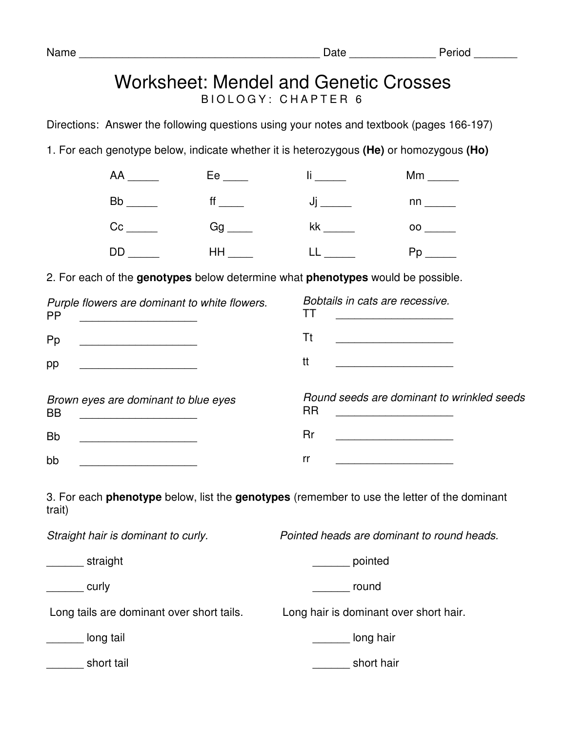## Worksheet: Mendel and Genetic Crosses B I O L O G Y : C H A P T E R 6

Directions: Answer the following questions using your notes and textbook (pages 166-197)

1. For each genotype below, indicate whether it is heterozygous **(He)** or homozygous **(Ho)** 

|  | $\mathbb{I}$ $\frac{1}{\sqrt{2}}$        |                               |
|--|------------------------------------------|-------------------------------|
|  | Bb _______     ff _____       Jj _______ |                               |
|  | Cc _______    Gg _____    kk ______      | $00 \underline{\hspace{1cm}}$ |
|  | DD ______    HH _____    LL ______       |                               |

2. For each of the **genotypes** below determine what **phenotypes** would be possible.

| Purple flowers are dominant to white flowers.<br><b>PP</b>                                                                                                                | Bobtails in cats are recessive.                               |  |
|---------------------------------------------------------------------------------------------------------------------------------------------------------------------------|---------------------------------------------------------------|--|
| Pp                                                                                                                                                                        | Tt                                                            |  |
| pp<br><u> 1989 - Johann Barbara, martin amerikan basar da</u>                                                                                                             | tt<br><u> 1989 - Johann Barbara, martin amerikan basar da</u> |  |
| Brown eyes are dominant to blue eyes<br><b>BB</b><br><u> 1989 - Jan Stein Stein Stein Stein Stein Stein Stein Stein Stein Stein Stein Stein Stein Stein Stein Stein S</u> | Round seeds are dominant to wrinkled seeds<br><b>RR</b>       |  |
| <b>Bb</b>                                                                                                                                                                 | Rr                                                            |  |
| bb                                                                                                                                                                        | rr                                                            |  |
|                                                                                                                                                                           |                                                               |  |

3. For each **phenotype** below, list the **genotypes** (remember to use the letter of the dominant trait)

| Straight hair is dominant to curly.       | Pointed heads are dominant to round heads. |  |
|-------------------------------------------|--------------------------------------------|--|
| straight                                  | pointed                                    |  |
| curly                                     | round                                      |  |
| Long tails are dominant over short tails. | Long hair is dominant over short hair.     |  |
| long tail                                 | long hair                                  |  |
| short tail                                | short hair                                 |  |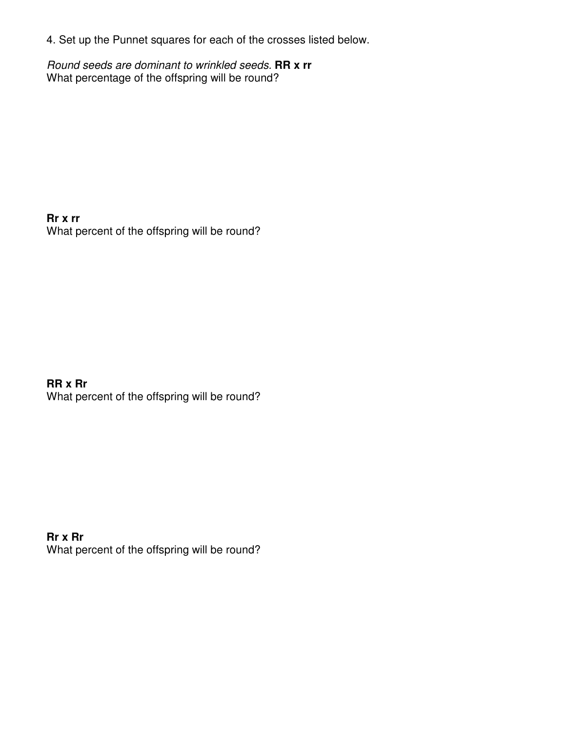4. Set up the Punnet squares for each of the crosses listed below.

Round seeds are dominant to wrinkled seeds. **RR x rr** What percentage of the offspring will be round?

**Rr x rr**  What percent of the offspring will be round?

**RR x Rr**  What percent of the offspring will be round?

**Rr x Rr**  What percent of the offspring will be round?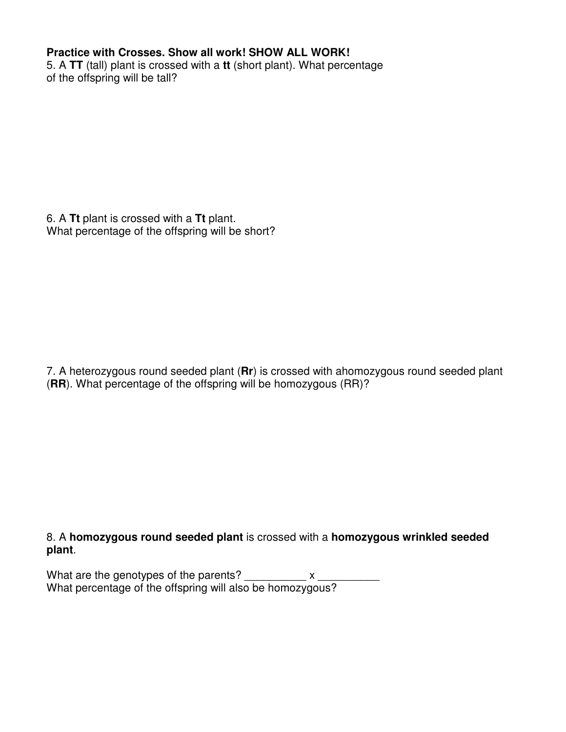## **Practice with Crosses. Show all work! SHOW ALL WORK!**

5. A **TT** (tall) plant is crossed with a **tt** (short plant). What percentage of the offspring will be tall?

6. A **Tt** plant is crossed with a **Tt** plant. What percentage of the offspring will be short?

7. A heterozygous round seeded plant (**Rr**) is crossed with ahomozygous round seeded plant (**RR**). What percentage of the offspring will be homozygous (RR)?

8. A **homozygous round seeded plant** is crossed with a **homozygous wrinkled seeded plant**.

What are the genotypes of the parents? \_\_\_\_\_\_\_\_\_\_\_ x \_ What percentage of the offspring will also be homozygous?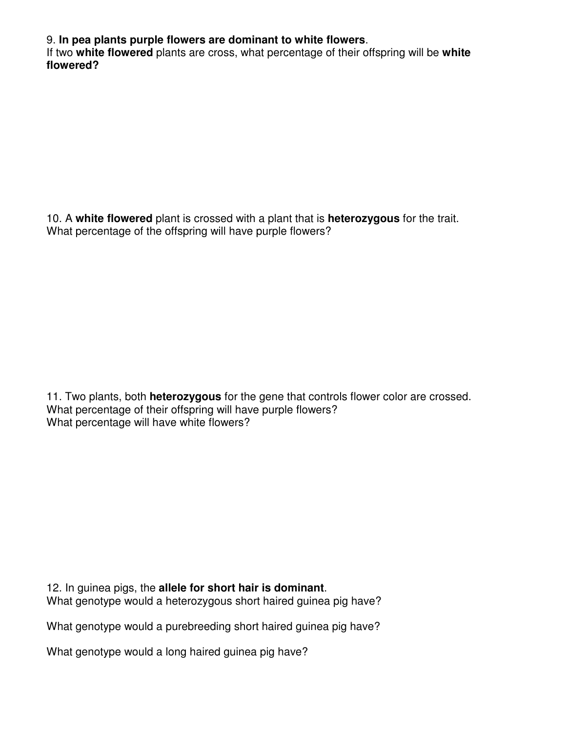9. **In pea plants purple flowers are dominant to white flowers**.

If two **white flowered** plants are cross, what percentage of their offspring will be **white flowered?** 

10. A **white flowered** plant is crossed with a plant that is **heterozygous** for the trait. What percentage of the offspring will have purple flowers?

11. Two plants, both **heterozygous** for the gene that controls flower color are crossed. What percentage of their offspring will have purple flowers? What percentage will have white flowers?

12. In guinea pigs, the **allele for short hair is dominant**. What genotype would a heterozygous short haired guinea pig have?

What genotype would a purebreeding short haired guinea pig have?

What genotype would a long haired guinea pig have?